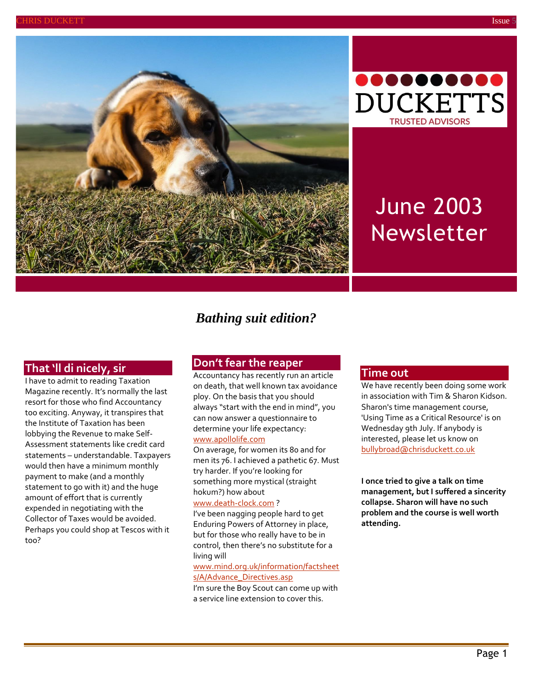





# June 2003 Newsletter

## *Bathing suit edition?*

## **That 'll di nicely, sir**

I have to admit to reading Taxation Magazine recently. It's normally the last resort for those who find Accountancy too exciting. Anyway, it transpires that the Institute of Taxation has been lobbying the Revenue to make Self-Assessment statements like credit card statements – understandable. Taxpayers would then have a minimum monthly payment to make (and a monthly statement to go with it) and the huge amount of effort that is currently expended in negotiating with the Collector of Taxes would be avoided. Perhaps you could shop at Tescos with it too?

#### **Don't fear the reaper**

Accountancy has recently run an article on death, that well known tax avoidance ploy. On the basis that you should always "start with the end in mind", you can now answer a questionnaire to determine your life expectancy: [www.apollolife.com](http://www.apollolife.com/)

On average, for women its 80 and for men its 76. I achieved a pathetic 67. Must try harder. If you're looking for something more mystical (straight hokum?) how about

#### [www.death-clock.com](http://www.death-clock.com/) ?

I've been nagging people hard to get Enduring Powers of Attorney in place, but for those who really have to be in control, then there's no substitute for a living will

[www.mind.org.uk/information/factsheet](http://www.mind.org.uk/information/factsheets/A/Advance_Directives.asp) [s/A/Advance\\_Directives.asp](http://www.mind.org.uk/information/factsheets/A/Advance_Directives.asp)

I'm sure the Boy Scout can come up with a service line extension to cover this.

#### **Time out**

We have recently been doing some work in association with Tim & Sharon Kidson. Sharon's time management course, 'Using Time as a Critical Resource' is on Wednesday 9th July. If anybody is interested, please let us know on [bullybroad@chrisduckett.co.uk](mailto:bullybroad@chrisduckett.co.uk)

**I once tried to give a talk on time management, but I suffered a sincerity collapse. Sharon will have no such problem and the course is well worth attending.**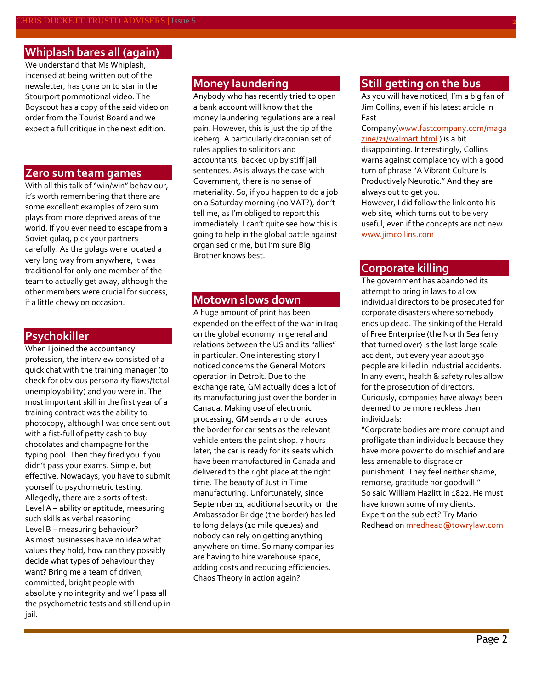## **Whiplash bares all (again)**

We understand that Ms Whiplash, incensed at being written out of the newsletter, has gone on to star in the Stourport pornmotional video. The Boyscout has a copy of the said video on order from the Tourist Board and we expect a full critique in the next edition.

#### **Zero sum team games**

With all this talk of "win/win" behaviour, it's worth remembering that there are some excellent examples of zero sum plays from more deprived areas of the world. If you ever need to escape from a Soviet gulag, pick your partners carefully. As the gulags were located a very long way from anywhere, it was traditional for only one member of the team to actually get away, although the other members were crucial for success, if a little chewy on occasion.

#### **Psychokiller**

When I joined the accountancy profession, the interview consisted of a quick chat with the training manager (to check for obvious personality flaws/total unemployability) and you were in. The most important skill in the first year of a training contract was the ability to photocopy, although I was once sent out with a fist-full of petty cash to buy chocolates and champagne for the typing pool. Then they fired you if you didn't pass your exams. Simple, but effective. Nowadays, you have to submit yourself to psychometric testing. Allegedly, there are 2 sorts of test: Level A – ability or aptitude, measuring such skills as verbal reasoning Level B – measuring behaviour? As most businesses have no idea what values they hold, how can they possibly decide what types of behaviour they want? Bring me a team of driven, committed, bright people with absolutely no integrity and we'll pass all the psychometric tests and still end up in jail.

## **Money laundering**

Anybody who has recently tried to open a bank account will know that the money laundering regulations are a real pain. However, this is just the tip of the iceberg. A particularly draconian set of rules applies to solicitors and accountants, backed up by stiff jail sentences. As is always the case with Government, there is no sense of materiality. So, if you happen to do a job on a Saturday morning (no VAT?), don't tell me, as I'm obliged to report this immediately. I can't quite see how this is going to help in the global battle against organised crime, but I'm sure Big Brother knows best.

#### **Motown slows down**

A huge amount of print has been expended on the effect of the war in Iraq on the global economy in general and relations between the US and its "allies" in particular. One interesting story I noticed concerns the General Motors operation in Detroit. Due to the exchange rate, GM actually does a lot of its manufacturing just over the border in Canada. Making use of electronic processing, GM sends an order across the border for car seats as the relevant vehicle enters the paint shop. 7 hours later, the car is ready for its seats which have been manufactured in Canada and delivered to the right place at the right time. The beauty of Just in Time manufacturing. Unfortunately, since September 11, additional security on the Ambassador Bridge (the border) has led to long delays (10 mile queues) and nobody can rely on getting anything anywhere on time. So many companies are having to hire warehouse space, adding costs and reducing efficiencies. Chaos Theory in action again?

## **Still getting on the bus**

As you will have noticed, I'm a big fan of Jim Collins, even if his latest article in Fast

Company[\(www.fastcompany.com/maga](www.fastcompany.com/magazine/71/walmart.html) [zine/71/walmart.html](www.fastcompany.com/magazine/71/walmart.html)) is a bit

disappointing. Interestingly, Collins warns against complacency with a good turn of phrase "A Vibrant Culture Is Productively Neurotic." And they are always out to get you.

However, I did follow the link onto his web site, which turns out to be very useful, even if the concepts are not new [www.jimcollins.com](http://www.jimcollins.com/)

### **Corporate killing**

The government has abandoned its attempt to bring in laws to allow individual directors to be prosecuted for corporate disasters where somebody ends up dead. The sinking of the Herald of Free Enterprise (the North Sea ferry that turned over) is the last large scale accident, but every year about 350 people are killed in industrial accidents. In any event, health & safety rules allow for the prosecution of directors. Curiously, companies have always been deemed to be more reckless than individuals:

"Corporate bodies are more corrupt and profligate than individuals because they have more power to do mischief and are less amenable to disgrace or punishment. They feel neither shame, remorse, gratitude nor goodwill." So said William Hazlitt in 1822. He must have known some of my clients. Expert on the subject? Try Mario Redhead o[n mredhead@towrylaw.com](mailto:mredhead@towrylaw.com)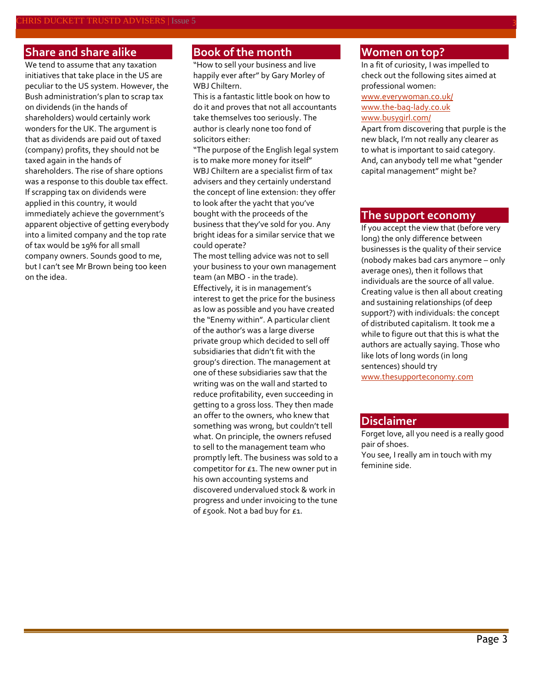## **Share and share alike**

We tend to assume that any taxation initiatives that take place in the US are peculiar to the US system. However, the Bush administration's plan to scrap tax on dividends (in the hands of shareholders) would certainly work wonders for the UK. The argument is that as dividends are paid out of taxed (company) profits, they should not be taxed again in the hands of shareholders. The rise of share options was a response to this double tax effect. If scrapping tax on dividends were applied in this country, it would immediately achieve the government's apparent objective of getting everybody into a limited company and the top rate of tax would be 19% for all small company owners. Sounds good to me, but I can't see Mr Brown being too keen on the idea.

## **Book of the month**

"How to sell your business and live happily ever after" by Gary Morley of WBJ Chiltern.

This is a fantastic little book on how to do it and proves that not all accountants take themselves too seriously. The author is clearly none too fond of solicitors either:

"The purpose of the English legal system is to make more money for itself" WBJ Chiltern are a specialist firm of tax advisers and they certainly understand the concept of line extension: they offer to look after the yacht that you've bought with the proceeds of the business that they've sold for you. Any bright ideas for a similar service that we could operate?

The most telling advice was not to sell your business to your own management team (an MBO - in the trade). Effectively, it is in management's interest to get the price for the business as low as possible and you have created the "Enemy within". A particular client of the author's was a large diverse private group which decided to sell off subsidiaries that didn't fit with the group's direction. The management at one of these subsidiaries saw that the writing was on the wall and started to reduce profitability, even succeeding in getting to a gross loss. They then made an offer to the owners, who knew that something was wrong, but couldn't tell what. On principle, the owners refused to sell to the management team who promptly left. The business was sold to a competitor for £1. The new owner put in his own accounting systems and discovered undervalued stock & work in progress and under invoicing to the tune of  $£500k$ . Not a bad buy for  $£1$ .

## **Women on top?**

In a fit of curiosity, I was impelled to check out the following sites aimed at professional women:

#### [www.everywoman.co.uk/](http://www.everywoman.co.uk/) [www.the-bag-lady.co.uk](http://www.the-bag-lady.co.uk/) [www.busygirl.com/](http://www.busygirl.com/)

Apart from discovering that purple is the new black, I'm not really any clearer as to what is important to said category. And, can anybody tell me what "gender capital management" might be?

#### **The support economy**

If you accept the view that (before very long) the only difference between businesses is the quality of their service (nobody makes bad cars anymore – only average ones), then it follows that individuals are the source of all value. Creating value is then all about creating and sustaining relationships (of deep support?) with individuals: the concept of distributed capitalism. It took me a while to figure out that this is what the authors are actually saying. Those who like lots of long words (in long sentences) should try [www.thesupporteconomy.com](http://www.thesupporteconomy.com/)

#### **Disclaimer**

Forget love, all you need is a really good pair of shoes. You see, I really am in touch with my feminine side.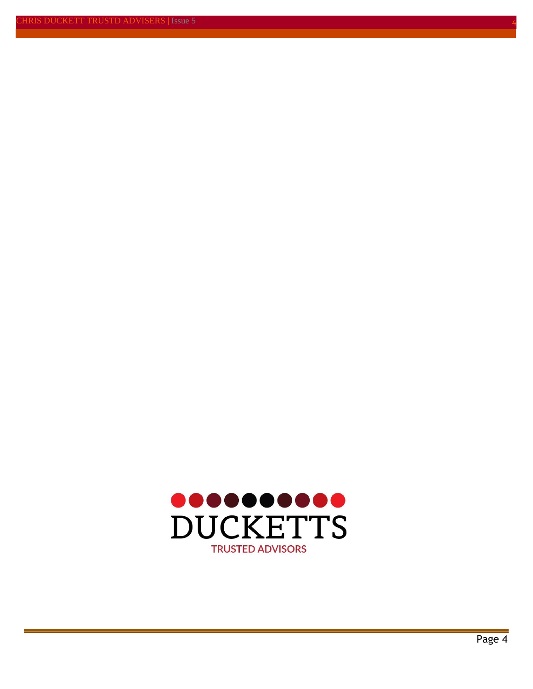